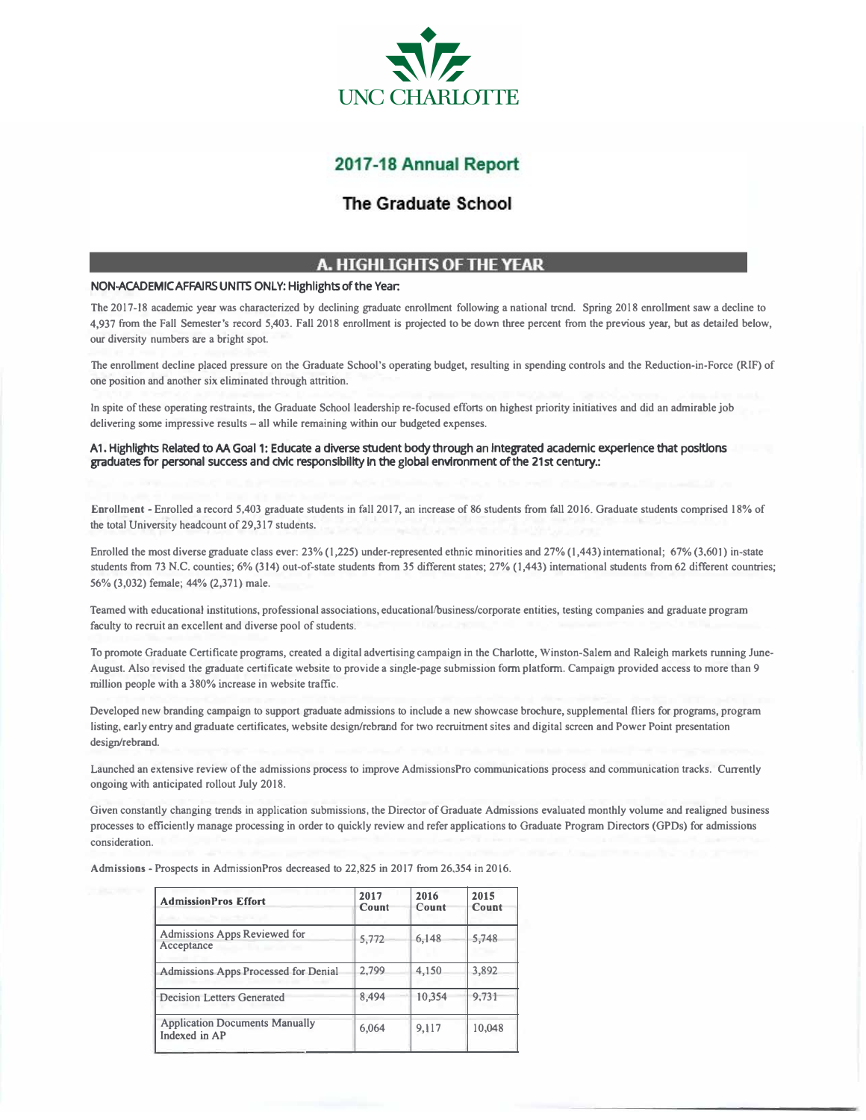

# 2017-18 Annual Report

## The Graduate School

## A. HIGHLIGHTS OF THE YEAR

### **NON-ACADEMIC AFFAIRS UNITS ONLY: Highlights of the Year:**

**The 2017-18 academic year was characterized by declining graduate enrollment following a national trend. Spring 2018 enrollment saw a decline to 4,937 from the Fall Semester's record 5,403. Fall 2018 enrollment is projected to be down three percent from the previous year, but as detailed below, our diversity numbers are a bright spot.** 

**The enrollment decline placed pressure on the Graduate School's operating budget, resulting in spending controls and the Reduction-in-Force (RIF) of one position and another six eliminated through attrition.** 

**In spite of these operating restraints, the Graduate School leadership re-focused efforts on highest priority initiatives and did an admirable job delivering some impressive results - all while remaining within our budgeted expenses.** 

A1. Highlights Related to AA Goal 1: Educate a diverse student body through an integrated academic experience that positions graduates for personal success and cMc responslblllty In the global environment of the 21st century.:

**Enrollment - Enrolled a record 5,403 graduate students in fall 2017, an increase of 86 students from fall 2016. Graduate students comprised 18% of the total University headcount of 29,317 students.** 

**Enrolled the most diverse graduate class ever: 23% (1,225) under-represented ethnic minorities and 27% (1,443) international; 67% (3,601) in-state**  students from 73 N.C. counties; 6% (314) out-of-state students from 35 different states; 27% (1,443) international students from 62 different countries; **56% (3,032) female; 44% (2,371) male.** 

**Teamed with educational institutions, professional associations, educational/business/corporate entities, testing companies and graduate program faculty to recruit an excellent and diverse pool of students.** 

**To promote Graduate Certificate programs, created a digital advertising campaign in the Charlotte, Winston-Salem and Raleigh markets running June-August. Also revised the graduate certificate website to provide a single-page submission form platform. Campaign provided access to more than 9 million people with a 380% increase in website traffic.** 

**Developed new branding campaign to support graduate admissions to include a new showcase brochure, supplemental fliers for programs, program listing, early entry and graduate certificates, website design/rebrand for two recruitment sites and digital screen and Power Point presentation design/rebrand.** 

**Launched an extensive review of the admissions process to improve AdmissionsPro communications process and communication tracks. Currently ongoing with anticipated rollout July 2018.** 

**Given constantly changing trends in application submissions, the Director of Graduate Admissions evaluated monthly volume and realigned business processes to efficiently manage processing in order to quickly review and refer applications to Graduate Program Directors (GPDs) for admissions consideration.** 

**Admissions - Prospects in AdrnissionPros decreased to 22,825 in 2017 from 26,354 in 2016.** 

| <b>AdmissionPros Effort</b>                                                     | 2017<br>Count | 2016<br>Count | 2015<br>Count |
|---------------------------------------------------------------------------------|---------------|---------------|---------------|
| <b>Admissions Apps Reviewed for</b><br>Acceptance<br><b>All Service Control</b> | 5,772         | 6,148         | 5.748         |
| <b>Admissions Apps Processed for Denial</b>                                     | 2,799         | 4,150         | 3,892         |
| <b>Decision Letters Generated</b>                                               | 8,494         | 10,354        | 9,731         |
| <b>Application Documents Manually</b><br>Indexed in AP                          | 6,064         | 9,117         | 10,048        |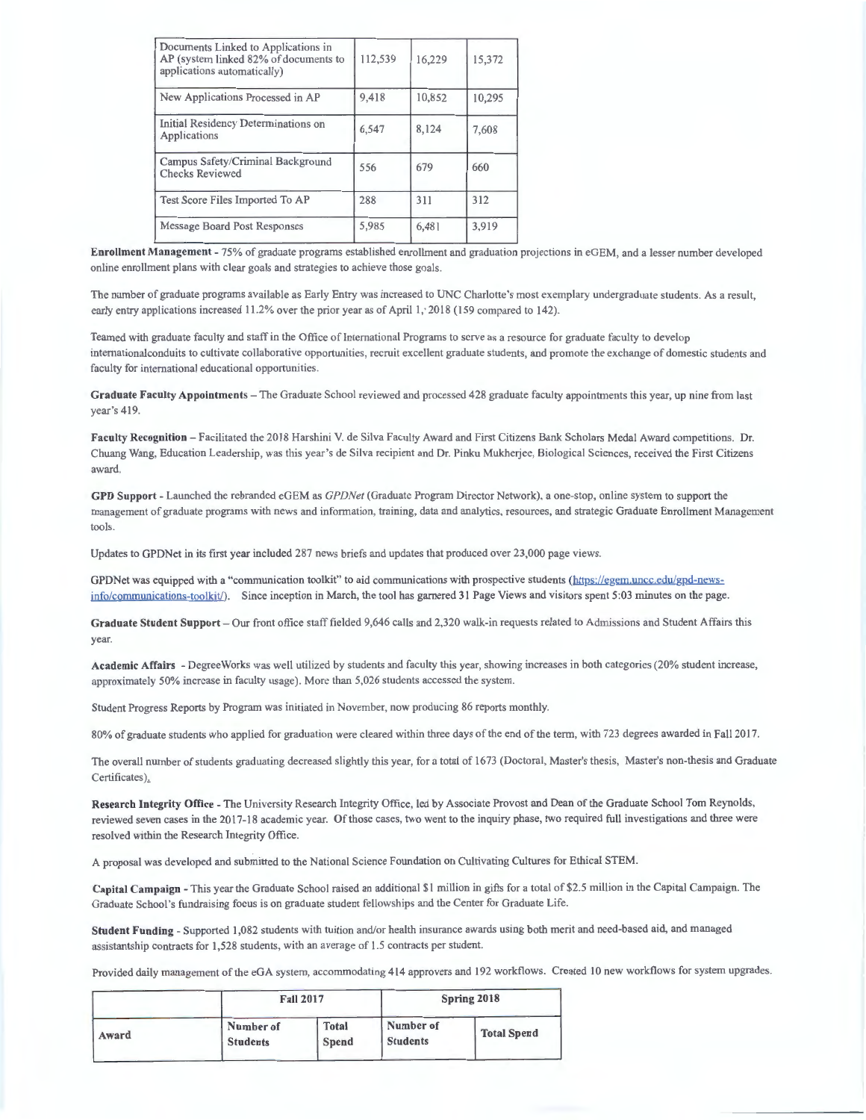| Documents Linked to Applications in<br>AP (system linked 82% of documents to<br>applications automatically) | 112,539 | 16,229 | 15,372 |
|-------------------------------------------------------------------------------------------------------------|---------|--------|--------|
| New Applications Processed in AP                                                                            | 9,418   | 10,852 | 10,295 |
| Initial Residency Determinations on<br>Applications                                                         | 6,547   | 8,124  | 7,608  |
| Campus Safety/Criminal Background<br><b>Checks Reviewed</b>                                                 | 556     | 679    | 660    |
| Test Score Files Imported To AP                                                                             | 288     | 311    | 312    |
| Message Board Post Responses                                                                                | 5,985   | 6,481  | 3.919  |
|                                                                                                             |         |        |        |

Enrollment Management - 75% of graduate programs established enrollment and graduation projections in eGEM, and a lesser number developed online enrollment plans with clear goals and strategies to achieve those goals.

The number of graduate programs available as Early Entry was increased to UNC Charlotte's most exemplary undergraduate students. As a result, early entry applications increased 11.2% over the prior year as of April 1, 2018 (159 compared to 142).

Teamed with graduate faculty and staff in the Office of International Programs to serve as a resource for graduate faculty to develop internationalconduits to cultivate collaborative opportunities, recruit excellent graduate students, and promote the exchange of domestic students and faculty for international educational opportunities.

Graduate Faculty Appointments - The Graduate School reviewed and processed 428 graduate faculty appointments this year, up nine from last year's 419.

Faculty Recognition - Facilitated the 2018 Harshini V. de Silva Faculty Award and First Citizens Bank Scholars Medal Award competitions. Dr. Chuang Wang, Education Leadership, was this year's de Silva recipient and Dr. Pinku Mukherjee, Biological Sciences, received the First Citizens award.

**GPO Support** - Launched the rcbrandcd cGEM as *GPDNet* (Graduate Program Director Network), a one-stop, onlinc system to support the management of graduate programs with news and information, training, data and analytics, resources, and strategic Graduate Enrollment Management tools.

Updates to GPDNet in its first year included 287 news briefs and updates that produced over 23 ,000 page views.

GPDNet was equipped with a "communication toolkit" to aid communications with prospective students (https://egem.uncc.edu/gpd-newsinfo/communications-toolkit/). Since inception in March, the tool has garnered 31 Page Views and visitors spent 5:03 minutes on the page.

Graduate Student Support - Our front office staff fielded 9,646 calls and 2,320 walk-in requests related to Admissions and Student Affairs this year.

Academic Affairs - DegreeWorks was well utilized by students and faculty this year, showing increases in both categories (20% student increase, approximately 50% increase in faculty usage). More than 5,026 students accessed the system.

Student Progress Reports by Program was initiated in November, now producing 86 reports monthly.

80% of graduate students who applied for graduation were cleared within three days of the end of the term, with 723 degrees awarded in Fall 2017.

The overall number of students graduating decreased slightly this year, for a total of 1673 (Doctoral, Master's thesis, Master's non-thesis and Graduate Certificates).

Research Integrity Office - The University Research Integrity Office, led by Associate Provost and Dean of the Graduate School Tom Reynolds, reviewed seven cases in the 2017-1 8 academic year. Of those cases, two went to the inquiry phase, two required full investigations and three were resolved within the Research Integrity Office.

A proposal was developed and submitted to the National Science Foundation on Cultivating Cultures for Ethical STEM.

Capital Campaign - This year the Graduate School raised an additional \$1 million in gifts for a total of \$2.5 million in the Capital Campaign. The Graduate School's fundraising focus is on graduate student fellowships and the Center for Graduate Life.

**Student Funding** - Supported 1,082 students with tuition and/or health insurance awards using both merit and need-based aid, and managed assistantship contracts for 1,528 students, with an average of 1.5 contracts per student.

Provided daily management of the eGA system, accommodating 414 approvers and 192 workflows. Created 10 new workflows for system upgrades.

|       | <b>Fall 2017</b>             |                              | Spring 2018                  |                    |  |
|-------|------------------------------|------------------------------|------------------------------|--------------------|--|
| Award | Number of<br><b>Students</b> | <b>Total</b><br><b>Spend</b> | Number of<br><b>Students</b> | <b>Total Spend</b> |  |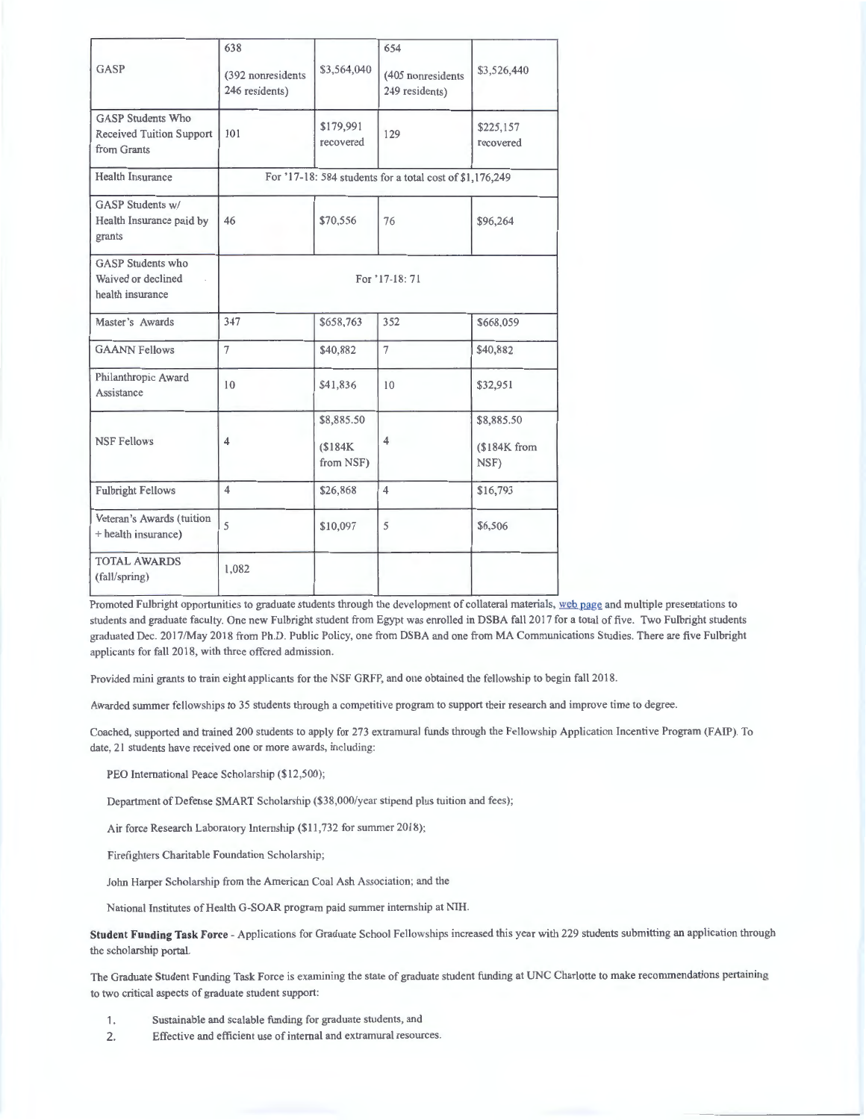| GASP                                                                | 638<br>(392 nonresidents<br>246 residents)               | \$3,564,040                       | 654<br>(405 nonresidents)<br>249 residents) | \$3,526,440                        |
|---------------------------------------------------------------------|----------------------------------------------------------|-----------------------------------|---------------------------------------------|------------------------------------|
| <b>GASP Students Who</b><br>Received Tuition Support<br>from Grants | 101                                                      | \$179,991<br>recovered            | 129                                         | \$225,157<br>recovered             |
| <b>Health Insurance</b>                                             | For '17-18: 584 students for a total cost of \$1,176,249 |                                   |                                             |                                    |
| <b>GASP Students w/</b><br>Health Insurance paid by<br>grants       | 46                                                       | \$70,556                          | 76                                          | \$96,264                           |
| <b>GASP</b> Students who<br>Waived or declined<br>health insurance  | For '17-18: 71                                           |                                   |                                             |                                    |
| Master's Awards                                                     | 347                                                      | \$658,763                         | 352                                         | \$668,059                          |
| <b>GAANN Fellows</b>                                                | 7                                                        | \$40,882                          | $\overline{7}$                              | \$40,882                           |
| Philanthropic Award<br>Assistance                                   | 10                                                       | \$41,836                          | 10                                          | \$32,951                           |
| <b>NSF Fellows</b>                                                  | 4                                                        | \$8,885.50<br>\$184K<br>from NSF) | $\overline{4}$                              | \$8,885.50<br>(\$184K from<br>NSF) |
| <b>Fulbright Fellows</b>                                            | $\overline{\mathbf{4}}$                                  | \$26,868                          | $\overline{\mathbf{4}}$                     | \$16,793                           |
| Veteran's Awards (tuition<br>+ health insurance)                    | 5                                                        | \$10,097                          | 5                                           | \$6,506                            |
| <b>TOTAL AWARDS</b><br>(fall/spring)                                | 1,082                                                    |                                   |                                             |                                    |

Promoted Fulbright opportunities to graduate students through the development of collateral materials, web page and multiple presentations to students and graduate faculty. One new Fulbright student from Egypt was enrolled in DSBA fall 2017 for a total of five. Two Fulbright students graduated Dec. 201 7/May 20 18 from Ph.D. Public Policy, one from DSBA and one from MA Communications Studies. There are five Fulbright applicants for fall 2018, with three offered admission.

Provided mini grants to train eight applicants for the NSF GRFP, and one obtained the fellowship to begin fall 2018.

Awarded summer fellowships to 35 students through a competitive program to support their research and improve time to degree.

Coached, supported and trained 200 students to apply for 273 extramural funds through the Fellowship Application Incentive Program (FAIP). To date, 21 students have received one or more awards, including:

PEO International Peace Scholarship (\$12,500);

Department of Defense SMART Scholarship (\$38,000/year stipend plus tuition and fees);

Air force Research Laboratory Internship (\$11,732 for summer 2018);

Firefighters Charitable Foundation Scholarship;

John Harper Scholarship from the American Coal Ash Association; and the

National Institutes of Health G-SOAR program paid summer internship at NIH.

**Student Funding Task Force** - Applications for Graduate School Fellowships increased this year with 229 students submitting an application through the scholarship portal.

The Graduate Student Funding Task Force is examining the state of graduate student funding at UNC Charlotte to make recommendations pertaining to two critical aspects of graduate student support:

- 1. Sustainable and scalable funding for graduate students, and
- 2. Effective and efficient use of internal and extramural resources.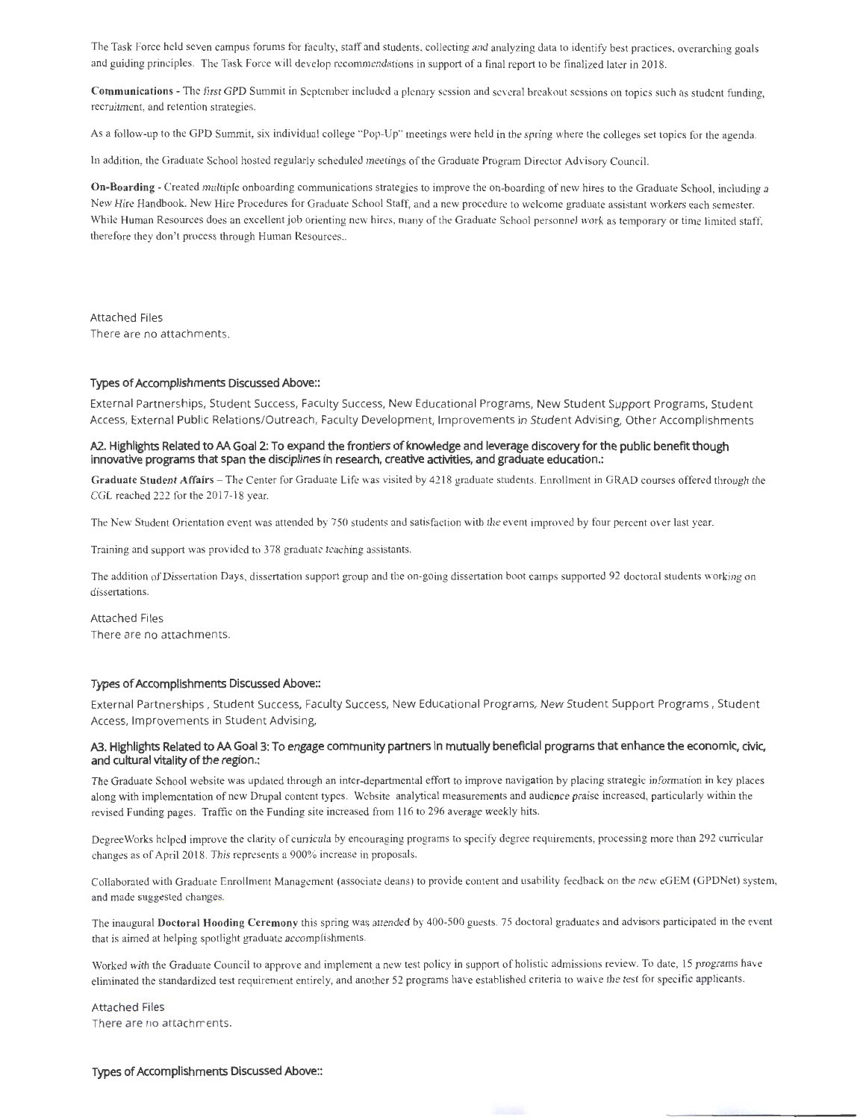The Task Force held seven campus forums for faculty, staff and students, collecting and analyzing data to identify best practices. overarching goals and guiding principles. The Task Force will develop recommendations in support ofa final report to be finalized later in 2018.

Communications - The first GPD Summit in September included a plenary session and several breakout sessions on topics such as student funding, recruitment, and retention strategies.

As a follow-up to the GPD Summit, six individual college "Pop-Up" meetings were held in the spring where the colleges set topics for the agenda.

In addition, the Graduate School hosted regularly scheduled meetings of the Graduate Program Director Advisory Council.

**On-Boarding** - Created multiple onboarding communications strategies to improve the on-boarding of new hires to the Graduate School, including a New Hire Handbook, New Hire Procedures for Graduate School Staff, and a new procedure to welcome graduate assistant workers each semester. While Human Resources does an excellent job orienting new hires, many of the Graduate School personnel work as temporary or time limited staff, therefore they don't process through Human Resources..

Attached Files There are no attachments.

#### **Types of Accomplishments Discussed Above::**

External Partnerships, Student Success, Faculty Success, New Educational Programs, New Student Support Programs, Student Access, External Public Relations/Outreach, Faculty Development, Improvements in Student Advising, Other Accomplishments

### **A2.. Highlights Related to AA Goal 2: To expand the frontiers of knowledge and leverage discovery for the public benefrt: though innovative programs that span the disciplines in research, creative activities, and graduate education.:**

Graduate Student Affairs - The Center for Graduate Life was visited by 4218 graduate students. Enrollment in GRAD courses offered through the CGL reached 222 for the 2017-18 year.

The New Student Orientation event was attended by 750 students and satisfaction with the event improved by four percent over last year.

Training and support was provided to 378 graduate teaching assistants.

The addition of Dissertation Days, dissertation support group and the on-going dissertation boot camps supported 92 doctoral students working on dissertations.

Attached Files There are no attachments.

#### **Types of Accomplishments Discussed Above::**

External Partnerships , Student Success, Faculty Success, New Educational Programs, New Student Support Programs, Student Access, Improvements in Student Advising,

#### A3. Highlights Related to AA Goal 3: To engage community partners in mutually beneficial programs that enhance the economic, civic, **and cultural vitality of the region.:**

The Graduate School website was updated through an inter-departmental effort to improve navigation by placing strategic information in key places along with implementation of new Drupal content types. Website analytical measurements and audience praise increased, particularly within the revised Funding pages. Traffic on the Funding site increased from 116 to 296 average weekly hits.

Degree Works helped improve the clarity of cunicula by encouraging programs to specify degree requirements, processing more than 292 curricular changes as of April 2018. This represents a 900% increase in proposals.

Collaborated with Graduate Enrollment Management (associate deans) to provide content and usability feedback on the new eGEM (GPDNet) system, and made suggested changes.

The inaugural **Doctoral Hooding Ceremony** this spring was attended by 400-500 guests. 75 doctoral graduates and advisors participated in the event that is aimed at helping spotlight graduate accomplishments.

Worked with the Graduate Council to approve and implement a new test policy in support of holistic admissions review. To date, 15 programs have eliminated the standardized test requirement entirely, and another 52 programs have established criteria to waive the test for specific applicants.

Attached Files There are no attachments.

**Types of Accomplishments Discussed Above::**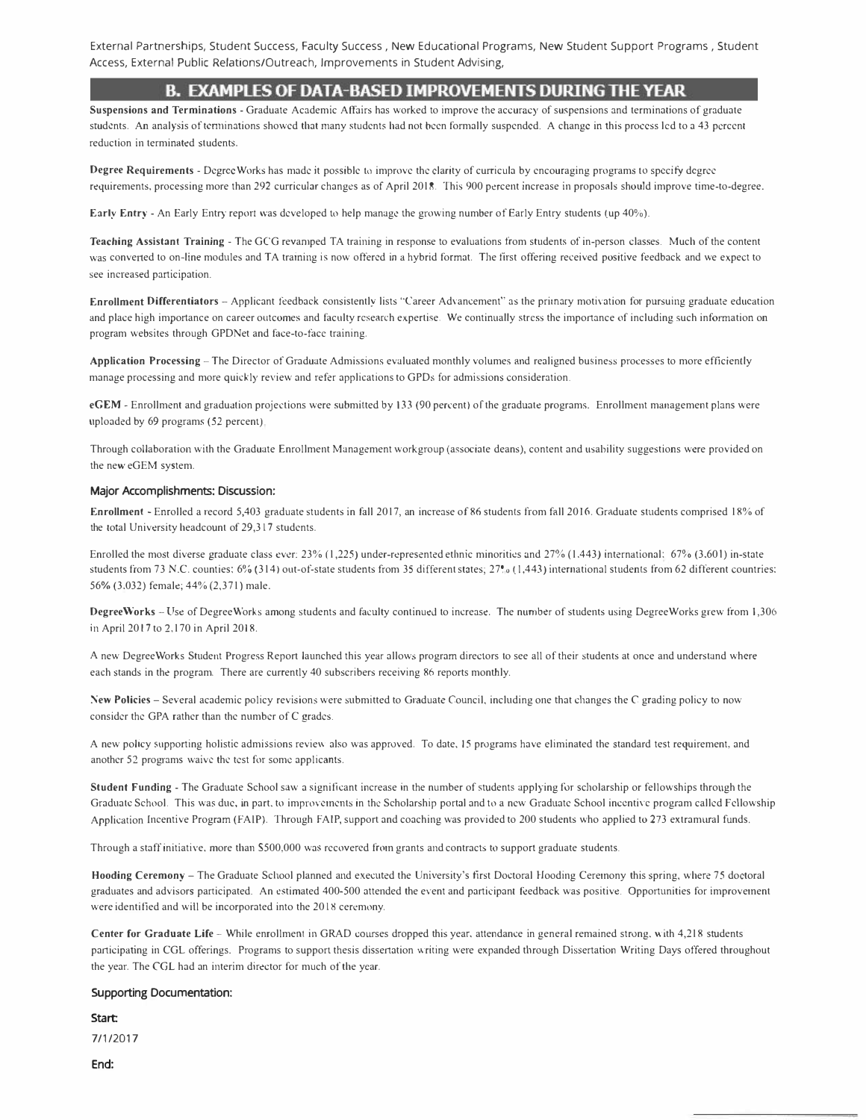External Partnerships, Student Success, Faculty Success , New Educational Programs, New Student Support Programs , Student Access, External Public Relations/Outreach, Improvements in Student Advising,

## **B. Examples of Data-Based Improvements During the Year.**

**Suspensions and Terminations** - Graduate Academic Affairs has worked to improve the accuracy of suspensions and terminations of graduate students. An analysis of terminations showed that many students had not been formally suspended. A change in this process led to a 43 percent reduction in terminated students.

Degree Requirements - Degree Works has made it possible to improve the clarity of curricula by encouraging programs to specify degree requirements, processing more than 292 curricular changes as of April 2018. This 900 pacent increase in proposals should improve time-to-degree.

**Early Entry** - An Early Entry report was developed to help manage the growing number of Early Entry students (up 40%).

**Teaching Assistant Training** - The GCG revamped TA training in response to evaluations from students of in-person classes. Much of the content was convetted to on-line modules and TA training is now offered in a hybrid format. The first offering received positive feedback and we expect to see increased participation.

Enrollment Differentiators - Applicant feedback consistently lists "Career Advancement" as the primary motivation for pursuing graduate education and place high importance on career outcomes and faculty research expertise. We continually stress the importance of including such information on program websites through GPDNet and face-to-face training.

**Application Processing** - The Director of Graduate Admissions evaluated monthly volumes and realigned business processes to more efficiently manage processing and more quickly review and refer applications to GPDs for admissions consideration.

**eGEM** - Enrollment and graduation projections were submitted by 133 (90 percent ) of the graduate programs. Enrollment management plans were uploaded by 69 programs (52 percent)

Through collaboration with the Graduate Enrollment Management workgroup (associate deans), content and usability suggestions were provided on the new eGEM system.

#### **Major Accomplishments: Discussion:**

Enrollment - Enrolled a record 5,403 graduate students in fall 2017, an increase of 86 students from fall 2016. Graduate students comprised 18% of the total University headcount of 29,317 students.

Enrolled the most diverse graduate class ever: 23% (1,225) under-represented ethnic minorities and 27% (1.443) international; 67% (3,601) in-state students from 73 N.C. counties: 6% (314) out-of-state students from 35 different states; 27<sup>o</sup> (1,443) international students from 62 different countries: 56% (3.032) female; 44% (2,371) male.

**Degree\Vorks** - Use of Degree Works among students and faculty continued to increase. The number of students using Degree Works grew from 1,306 in April 2017 to 2,170 in April 2018.

A new DegreeWorks Student Progress Report launched this year allows program directors to see all of their students at once and understand where each stands in the program. There are currently 40 subscribers receiving 86 reports monthly.

**\'.ew Policies** - Several academic policy revisions were submitted to Graduate Council, including one that changes the C grading policy to now consider the GPA rather than the number of C grades.

A new policy supporting holistic admissions review also was approved. To date, 15 programs have eliminated the standard test requirement, and another 52 programs waive the test for some applicants.

**Student Funding** - The Graduate School saw a significant increase in the number of students applying for scholarship or fellowships through the Graduate School. This was due, in part, to improvements in the Scholarship portal and to a new Graduate School incentive program called Fellowship Application Incentive Program (FAIP). Through FAIP, support and coaching was provided to 200 students who applied to 273 extramural funds.

Through a staff initiative. more than S500,000 was recovered from grants and contracts to support graduate students.

Hooding Ceremony - The Graduate School planned and executed the University's first Doctoral Hooding Ceremony this spring, where 75 doctoral graduates and advisors participated. An estimated 400-500 attended the event and participant feedback was positive. Opportunities for improvement were identified and will be incorporated into the 2018 ceremony.

Center for Graduate Life - While enrollment in GRAD courses dropped this year, attendance in general remained strong, with 4,218 students participating in CGL offerings. Programs to support thesis dissertation writing were expanded through Dissertation Writing Days offered throughout the year. The COL had an interim director for much of the year.

### **Supporting Documentation:**

Start:

7/1/2017